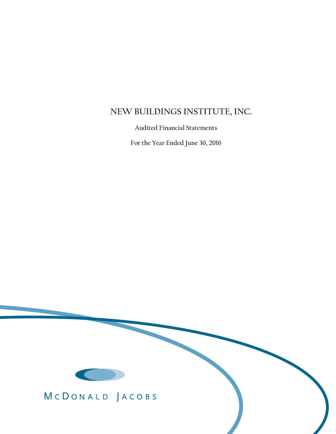# **NEW BUILDINGS INSTITUTE, INC.**

 **Audited Financial Statements**

 **For the Year Ended June 30, 2016**



MCDONALD JACOBS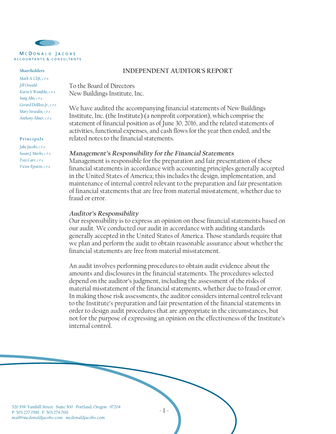

#### **Shareholders**

*Mark A. Clift, CPA Jill Oswald Karin S. Wandtke, CPA Sang Ahn, CPA Gerard DeBlois Jr., CPA Mary Strasdin, CPA Anthony Almer, CPA*

#### **Principals**

*Jake Jacobs, CPA Susan J. Marks, CPA Tyee Carr, CPA Victor Epstein, CPA*

### **INDEPENDENT AUDITOR'S REPORT**

To the Board of Directors New Buildings Institute, Inc.

We have audited the accompanying financial statements of New Buildings Institute, Inc. (the Institute) (a nonprofit corporation), which comprise the statement of financial position as of June 30, 2016, and the related statements of activities, functional expenses, and cash flows for the year then ended, and the related notes to the financial statements.

#### **Management's Responsibility for the Financial Statements**

Management is responsible for the preparation and fair presentation of these financial statements in accordance with accounting principles generally accepted in the United States of America; this includes the design, implementation, and maintenance of internal control relevant to the preparation and fair presentation of financial statements that are free from material misstatement, whether due to fraud or error.

#### **Auditor's Responsibility**

Our responsibility is to express an opinion on these financial statements based on our audit. We conducted our audit in accordance with auditing standards generally accepted in the United States of America. Those standards require that we plan and perform the audit to obtain reasonable assurance about whether the financial statements are free from material misstatement.

An audit involves performing procedures to obtain audit evidence about the amounts and disclosures in the financial statements. The procedures selected depend on the auditor's judgment, including the assessment of the risks of material misstatement of the financial statements, whether due to fraud or error. In making those risk assessments, the auditor considers internal control relevant to the Institute's preparation and fair presentation of the financial statements in order to design audit procedures that are appropriate in the circumstances, but not for the purpose of expressing an opinion on the effectiveness of the Institute's internal control.

-1-

520 SW Yamhill Street Suite 500 Portland, Oregon 97204 P: 503 227 0581 F: 503 274 7611 mail@mcdonaldjacobs.com mcdonaldjacobs.com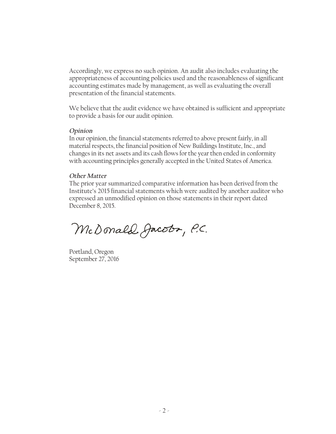Accordingly, we express no such opinion. An audit also includes evaluating the appropriateness of accounting policies used and the reasonableness of significant accounting estimates made by management, as well as evaluating the overall presentation of the financial statements.

We believe that the audit evidence we have obtained is sufficient and appropriate to provide a basis for our audit opinion.

#### **Opinion**

In our opinion, the financial statements referred to above present fairly, in all material respects, the financial position of New Buildings Institute, Inc., and changes in its net assets and its cash flows for the year then ended in conformity with accounting principles generally accepted in the United States of America.

#### **Other Matter**

The prior year summarized comparative information has been derived from the Institute's 2015 financial statements which were audited by another auditor who expressed an unmodified opinion on those statements in their report dated December 8, 2015.

McDonald Jacobr, P.C.

Portland, Oregon September 27, 2016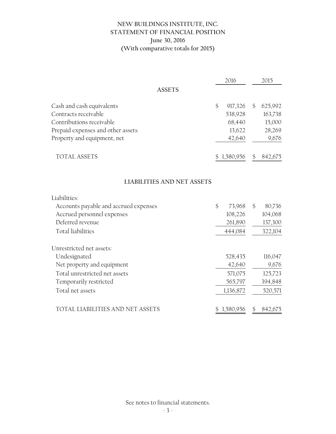## **NEW BUILDINGS INSTITUTE, INC. STATEMENT OF FINANCIAL POSITION June 30, 2016 (With comparative totals for 2015)**

|                                                  | 2016                     | 2015                     |
|--------------------------------------------------|--------------------------|--------------------------|
| <b>ASSETS</b>                                    |                          |                          |
| Cash and cash equivalents                        | $\frac{6}{5}$<br>917,326 | 625,992<br>\$            |
| Contracts receivable<br>Contributions receivable | 538,928<br>68,440        | 163,738<br>15,000        |
| Prepaid expenses and other assets                | 13,622                   | 28,269                   |
| Property and equipment, net                      | 42,640                   | 9,676                    |
| <b>TOTAL ASSETS</b>                              | \$1,580,956              | $\mathcal{S}$<br>842,675 |
| <b>LIABILITIES AND NET ASSETS</b>                |                          |                          |
| Liabilities:                                     |                          |                          |
| Accounts payable and accrued expenses            | $\mathcal{S}$<br>73,968  | $\mathcal{S}$<br>80,736  |
| Accrued personnel expenses                       | 108,226                  | 104,068                  |
| Deferred revenue                                 | 261,890                  | 137,300                  |
| <b>Total liabilities</b>                         | 444,084                  | 322,104                  |
| Unrestricted net assets:                         |                          |                          |
| Undesignated                                     | 528,435                  | 116,047                  |
| Net property and equipment                       | 42,640                   | 9,676                    |
| Total unrestricted net assets                    | 571,075                  | 125,723                  |
| Temporarily restricted                           | 565,797                  | 394,848                  |
| Total net assets                                 | 1,136,872                | 520,571                  |
| TOTAL LIABILITIES AND NET ASSETS                 | \$1,580,956              | \$<br>842,675            |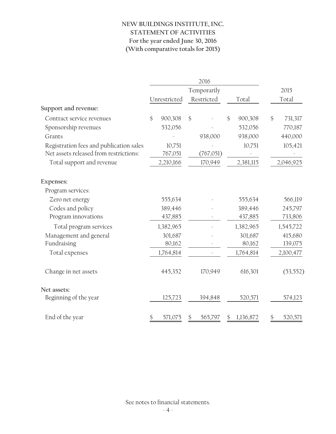# **NEW BUILDINGS INSTITUTE, INC. STATEMENT OF ACTIVITIES For the year ended June 30, 2016 (With comparative totals for 2015)**

|                                         | 2016 |              |               |             |               |           |               |
|-----------------------------------------|------|--------------|---------------|-------------|---------------|-----------|---------------|
|                                         |      |              |               | Temporarily |               |           | 2015          |
|                                         |      | Unrestricted |               | Restricted  |               | Total     | Total         |
| Support and revenue:                    |      |              |               |             |               |           |               |
| Contract service revenues               | \$   | 900,308      | $\mathcal{S}$ |             | $\mathcal{S}$ | 900,308   | \$<br>731,317 |
| Sponsorship revenues                    |      | 532,056      |               |             |               | 532,056   | 770,187       |
| Grants                                  |      |              |               | 938,000     |               | 938,000   | 440,000       |
| Registration fees and publication sales |      | 10,751       |               |             |               | 10,751    | 105,421       |
| Net assets released from restrictions:  |      | 767,051      |               | (767,051)   |               |           |               |
| Total support and revenue               |      | 2,210,166    |               | 170,949     |               | 2,381,115 | 2,046,925     |
| Expenses:                               |      |              |               |             |               |           |               |
| Program services:                       |      |              |               |             |               |           |               |
| Zero net energy                         |      | 555,634      |               |             |               | 555,634   | 566,119       |
| Codes and policy                        |      | 389,446      |               |             |               | 389,446   | 245,797       |
| Program innovations                     |      | 437,885      |               |             |               | 437,885   | 733,806       |
| Total program services                  |      | 1,382,965    |               |             |               | 1,382,965 | 1,545,722     |
| Management and general                  |      | 301,687      |               |             |               | 301,687   | 415,680       |
| Fundraising                             |      | 80,162       |               |             |               | 80,162    | 139,075       |
| Total expenses                          |      | 1,764,814    |               |             |               | 1,764,814 | 2,100,477     |
| Change in net assets                    |      | 445,352      |               | 170,949     |               | 616,301   | (53, 552)     |
| Net assets:                             |      |              |               |             |               |           |               |
| Beginning of the year                   |      | 125,723      |               | 394,848     |               | 520,571   | 574,123       |
| End of the year                         | \$   | 571,075      | \$            | 565,797     | \$            | 1,136,872 | \$<br>520,571 |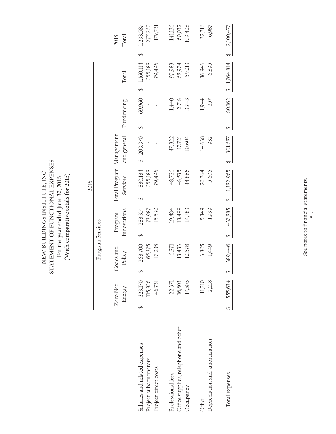STATEMENT OF FUNCTIONAL EXPENSES **STATEMENT OF FUNCTIONAL EXPENSES** NEW BUILDINGS INSTITUTE, INC. **NEW BUILDINGS INSTITUTE, INC.** (With comparative totals for 2015) **(With comparative totals for 2015)** For the year ended June 30, 2016 **For the year ended June 30, 2016**

277,260 141,136 109,428 179,731 60,032 32,316 6,987 1,293,587 Salaries and related expenses 323,587 \$ 323,170 \$ 268,700 \$ 268,314 \$ 328,314 \$ 329,587 \$ 1,293,587 \$ 1,293,587 Project subcontractors subcontractors 115,826 65,375 73,987 255,188 - 255,188 - 255,188 277,260 Project direct costs 179,791 17,235 17,235 15,530 179,496 179,496 - - 79,496 179,731 Office supplies, telephone and other 16,603 13,433 18,499 48,535 17,721 2,718 68,974 60,032 Depreciation and amortization 2,218 1,449 1,4506 5,606 932 357 6,895 6,987 2,100,477 Total expenses 55,634 \$ 487 \$ 389,9634 \$ 389,963 \$ 389,965 \$ \$ \$ 301,687 \$ 301,687 \$ 1,764,814 \$ 1,764,814 \$ 2,100,477 Professional fees 22,371 6,871 6,871 14,136 48,726 47,822 1440 97,988 141,136 Occupancy 17,505 12,505 14,783 44,866 10,604 3664 57,43 59,213 59,428 Other 11,210 3,805 5,349 20,364 14,638 1,944 36,946 32,316 Total 2015 Energy Policy Innovations Services and general Fundraising Total Total Zero Net Codes and Program Total Program Management 2015  $\overline{\mathbf{v}}$  $\overline{\mathcal{L}}$ 36,946 1,160,114 255,188 68,974 79,496 97,988 59,213 6,895  $$1,764,814$ Total  $\leftrightarrow$ 69,960 2,718 80,162  $1,440$ 3,743 1,944 357 Fundraising  $\overline{S}$  $\overline{S}$ Total Program Management and general  $17,721$ 10,604 14,638 932 209,970 47,822 301,687  $\bar{\lambda}$  $\leftrightarrow$  $\leftrightarrow$ 880,184 255,188 79,496 48,726 5,606 48,535 44,866 20,364  $$1,382,965$ Services 2016  $\leftrightarrow$ 288,314 15,530 5,349 1,939 73,987 19,484 18,499 14,783 Innovations 437,885 Program Program Services Program Services  $\overline{\Theta}$  $\leftrightarrow$ 268,700 1,449 65,375 17,235 6,871 13,433 12,578 3,805 389,446 Codes and Policy  $\leftrightarrow$ ⊕ 323,170 115,826 16,603 17,505  $11,210$ 2,218 46,731 22,371 555,634 Zero Net Energy  $\leftrightarrow$  $\overline{\mathbf{t}}$ Office supplies, telephone and other Depreciation and amortization Salaries and related expenses Project subcontractors Project direct costs Total expenses Professional fees Occupancy Other

See notes to financial statements. See notes to financial statements.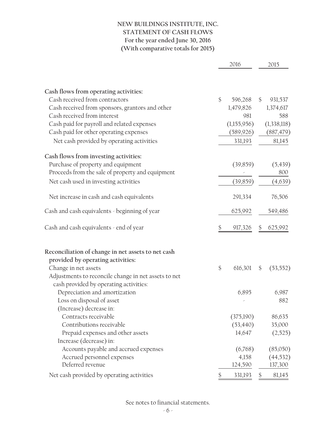## **NEW BUILDINGS INSTITUTE, INC. STATEMENT OF CASH FLOWS For the year ended June 30, 2016 (With comparative totals for 2015)**

|                                                      |               | 2016        |               | 2015        |  |
|------------------------------------------------------|---------------|-------------|---------------|-------------|--|
|                                                      |               |             |               |             |  |
| Cash flows from operating activities:                |               |             |               |             |  |
| Cash received from contractors                       | $\mathcal{S}$ | 596,268     | $\mathcal{S}$ | 931,537     |  |
| Cash received from sponsors, grantors and other      |               | 1,479,826   |               | 1,374,617   |  |
| Cash received from interest                          |               | 981         |               | 588         |  |
| Cash paid for payroll and related expenses           |               | (1,155,956) |               | (1,338,118) |  |
| Cash paid for other operating expenses               |               | (589,926)   |               | (887, 479)  |  |
| Net cash provided by operating activities            |               | 331,193     |               | 81,145      |  |
| Cash flows from investing activities:                |               |             |               |             |  |
| Purchase of property and equipment                   |               | (39, 859)   |               | (5, 439)    |  |
| Proceeds from the sale of property and equipment     |               |             |               | 800         |  |
| Net cash used in investing activities                |               | (39, 859)   |               | (4,639)     |  |
| Net increase in cash and cash equivalents            |               | 291,334     |               | 76,506      |  |
| Cash and cash equivalents - beginning of year        |               | 625,992     |               | 549,486     |  |
| Cash and cash equivalents - end of year              |               | 917,326     |               | 625,992     |  |
| Reconciliation of change in net assets to net cash   |               |             |               |             |  |
| provided by operating activities:                    |               |             |               |             |  |
| Change in net assets                                 | \$            | 616,301     | \$            | (53, 552)   |  |
| Adjustments to reconcile change in net assets to net |               |             |               |             |  |
| cash provided by operating activities:               |               |             |               |             |  |
| Depreciation and amortization                        |               | 6,895       |               | 6,987       |  |
| Loss on disposal of asset                            |               |             |               | 882         |  |
| (Increase) decrease in:                              |               |             |               |             |  |
| Contracts receivable                                 |               | (375,190)   |               | 86,635      |  |
| Contributions receivable                             |               | (53, 440)   |               | 35,000      |  |
| Prepaid expenses and other assets                    |               | 14,647      |               | (2,525)     |  |
| Increase (decrease) in:                              |               |             |               |             |  |
| Accounts payable and accrued expenses                |               | (6,768)     |               | (85,050)    |  |
| Accrued personnel expenses                           |               | 4,158       |               | (44, 532)   |  |
| Deferred revenue                                     |               | 124,590     |               | 137,300     |  |
| Net cash provided by operating activities            | \$            | 331,193     | \$            | 81,145      |  |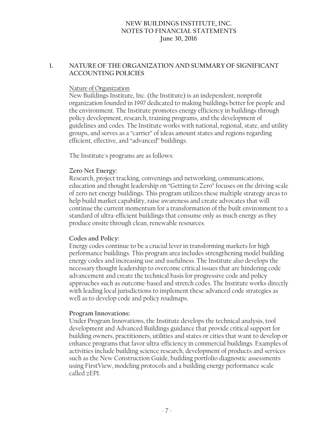### **1. NATURE OF THE ORGANIZATION AND SUMMARY OF SIGNIFICANT ACCOUNTING POLICIES**

### Nature of Organization

New Buildings Institute, Inc. (the Institute) is an independent, nonprofit organization founded in 1997 dedicated to making buildings better for people and the environment. The Institute promotes energy efficiency in buildings through policy development, research, training programs, and the development of guidelines and codes. The Institute works with national, regional, state, and utility groups, and serves as a "carrier" of ideas amount states and regions regarding efficient, effective, and "advanced" buildings.

The Institute's programs are as follows:

### **Zero Net Energy:**

Research, project tracking, convenings and networking, communications, education and thought leadership on "Getting to Zero" focuses on the driving scale of zero net energy buildings. This program utilizes these multiple strategy areas to help build market capability, raise awareness and create advocates that will continue the current momentum for a transformation of the built environment to a standard of ultra-efficient buildings that consume only as much energy as they produce onsite through clean, renewable resources.

### **Codes and Policy:**

Energy codes continue to be a crucial lever in transforming markets for high performance buildings. This program area includes strengthening model building energy codes and increasing use and usefulness. The Institute also develops the necessary thought leadership to overcome critical issues that are hindering code advancement and create the technical basis for progressive code and policy approaches such as outcome-based and stretch codes. The Institute works directly with leading local jurisdictions to implement these advanced code strategies as well as to develop code and policy roadmaps.

### **Program Innovations:**

Under Program Innovations, the Institute develops the technical analysis, tool development and Advanced Buildings guidance that provide critical support for building owners, practitioners, utilities and states or cities that want to develop or enhance programs that favor ultra-efficiency in commercial buildings. Examples of activities include building science research, development of products and services such as the New Construction Guide, building portfolio diagnostic assessments using FirstView, modeling protocols and a building energy performance scale called zEPI.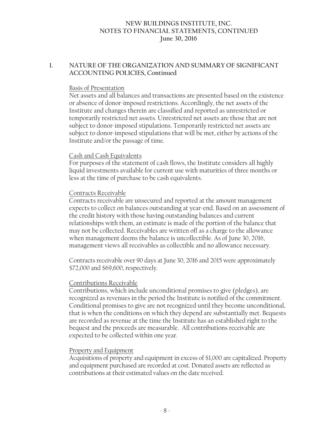### **1. NATURE OF THE ORGANIZATION AND SUMMARY OF SIGNIFICANT ACCOUNTING POLICIES, Continued**

#### Basis of Presentation

Net assets and all balances and transactions are presented based on the existence or absence of donor-imposed restrictions. Accordingly, the net assets of the Institute and changes therein are classified and reported as unrestricted or temporarily restricted net assets. Unrestricted net assets are those that are not subject to donor-imposed stipulations. Temporarily restricted net assets are subject to donor-imposed stipulations that will be met, either by actions of the Institute and/or the passage of time.

#### Cash and Cash Equivalents

For purposes of the statement of cash flows, the Institute considers all highly liquid investments available for current use with maturities of three months or less at the time of purchase to be cash equivalents.

#### Contracts Receivable

Contracts receivable are unsecured and reported at the amount management expects to collect on balances outstanding at year-end. Based on an assessment of the credit history with those having outstanding balances and current relationships with them, an estimate is made of the portion of the balance that may not be collected. Receivables are written off as a charge to the allowance when management deems the balance is uncollectible. As of June 30, 2016, management views all receivables as collectible and no allowance necessary.

Contracts receivable over 90 days at June 30, 2016 and 2015 were approximately \$72,000 and \$69,600, respectively.

### Contributions Receivable

Contributions, which include unconditional promises to give (pledges), are recognized as revenues in the period the Institute is notified of the commitment. Conditional promises to give are not recognized until they become unconditional, that is when the conditions on which they depend are substantially met. Bequests are recorded as revenue at the time the Institute has an established right to the bequest and the proceeds are measurable. All contributions receivable are expected to be collected within one year.

### Property and Equipment

Acquisitions of property and equipment in excess of \$1,000 are capitalized. Property and equipment purchased are recorded at cost. Donated assets are reflected as contributions at their estimated values on the date received.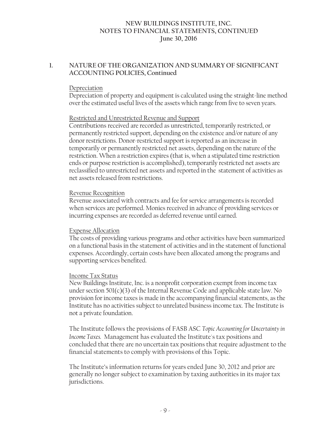### **1. NATURE OF THE ORGANIZATION AND SUMMARY OF SIGNIFICANT ACCOUNTING POLICIES, Continued**

#### Depreciation

Depreciation of property and equipment is calculated using the straight-line method over the estimated useful lives of the assets which range from five to seven years.

#### Restricted and Unrestricted Revenue and Support

Contributions received are recorded as unrestricted, temporarily restricted, or permanently restricted support, depending on the existence and/or nature of any donor restrictions. Donor-restricted support is reported as an increase in temporarily or permanently restricted net assets, depending on the nature of the restriction. When a restriction expires (that is, when a stipulated time restriction ends or purpose restriction is accomplished), temporarily restricted net assets are reclassified to unrestricted net assets and reported in the statement of activities as net assets released from restrictions.

#### Revenue Recognition

Revenue associated with contracts and fee for service arrangements is recorded when services are performed. Monies received in advance of providing services or incurring expenses are recorded as deferred revenue until earned.

### Expense Allocation

The costs of providing various programs and other activities have been summarized on a functional basis in the statement of activities and in the statement of functional expenses. Accordingly, certain costs have been allocated among the programs and supporting services benefited.

### Income Tax Status

New Buildings Institute, Inc. is a nonprofit corporation exempt from income tax under section 501(c)(3) of the Internal Revenue Code and applicable state law. No provision for income taxes is made in the accompanying financial statements, as the Institute has no activities subject to unrelated business income tax. The Institute is not a private foundation.

The Institute follows the provisions of FASB ASC *Topic Accounting for Uncertainty in Income Taxes.* Management has evaluated the Institute's tax positions and concluded that there are no uncertain tax positions that require adjustment to the financial statements to comply with provisions of this Topic.

The Institute's information returns for years ended June 30, 2012 and prior are generally no longer subject to examination by taxing authorities in its major tax jurisdictions.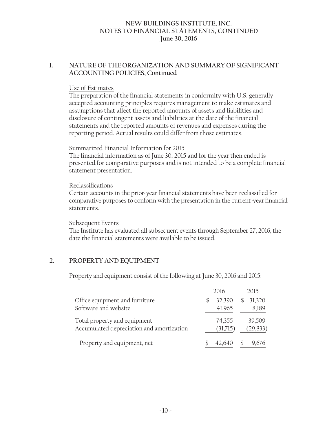### **1. NATURE OF THE ORGANIZATION AND SUMMARY OF SIGNIFICANT ACCOUNTING POLICIES, Continued**

### Use of Estimates

The preparation of the financial statements in conformity with U.S. generally accepted accounting principles requires management to make estimates and assumptions that affect the reported amounts of assets and liabilities and disclosure of contingent assets and liabilities at the date of the financial statements and the reported amounts of revenues and expenses during the reporting period. Actual results could differ from those estimates.

### Summarized Financial Information for 2015

The financial information as of June 30, 2015 and for the year then ended is presented for comparative purposes and is not intended to be a complete financial statement presentation.

### Reclassifications

Certain accounts in the prior-year financial statements have been reclassified for comparative purposes to conform with the presentation in the current-year financial statements.

#### Subsequent Events

The Institute has evaluated all subsequent events through September 27, 2016, the date the financial statements were available to be issued.

### **2. PROPERTY AND EQUIPMENT**

Property and equipment consist of the following at June 30, 2016 and 2015:

|                                                                           | 2016               | 2015 |                     |  |
|---------------------------------------------------------------------------|--------------------|------|---------------------|--|
| Office equipment and furniture<br>Software and website                    | 32,390<br>41,965   | \$.  | 31,320<br>8,189     |  |
| Total property and equipment<br>Accumulated depreciation and amortization | 74,355<br>(31,715) |      | 39,509<br>(29, 833) |  |
| Property and equipment, net                                               | 42,640             |      | 9,676               |  |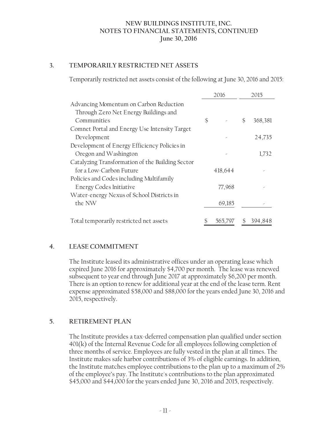### **3. TEMPORARILY RESTRICTED NET ASSETS**

Temporarily restricted net assets consist of the following at June 30, 2016 and 2015:

|                                                  |    | 2016    | 2015 |         |  |
|--------------------------------------------------|----|---------|------|---------|--|
| Advancing Momentum on Carbon Reduction           |    |         |      |         |  |
| Through Zero Net Energy Buildings and            |    |         |      |         |  |
| Communities                                      | \$ |         | \$   | 368,381 |  |
| Comnet Portal and Energy Use Intensity Target    |    |         |      |         |  |
| Development                                      |    |         |      | 24,735  |  |
| Development of Energy Efficiency Policies in     |    |         |      |         |  |
| Oregon and Washington                            |    |         |      | 1,732   |  |
| Catalyzing Transformation of the Building Sector |    |         |      |         |  |
| for a Low-Carbon Future                          |    | 418,644 |      |         |  |
| Policies and Codes including Multifamily         |    |         |      |         |  |
| <b>Energy Codes Initiative</b>                   |    | 77,968  |      |         |  |
| Water-energy Nexus of School Districts in        |    |         |      |         |  |
| the NW                                           |    | 69,185  |      |         |  |
| Total temporarily restricted net assets          |    | 565,797 | \$   | 394,848 |  |

### **4. LEASE COMMITMENT**

The Institute leased its administrative offices under an operating lease which expired June 2016 for approximately \$4,700 per month. The lease was renewed subsequent to year end through June 2017 at approximately \$6,200 per month. There is an option to renew for additional year at the end of the lease term. Rent expense approximated \$58,000 and \$88,000 for the years ended June 30, 2016 and 2015, respectively.

### **5. RETIREMENT PLAN**

The Institute provides a tax-deferred compensation plan qualified under section 401(k) of the Internal Revenue Code for all employees following completion of three months of service. Employees are fully vested in the plan at all times. The Institute makes safe harbor contributions of 3% of eligible earnings. In addition, the Institute matches employee contributions to the plan up to a maximum of 2% of the employee's pay. The Institute's contributions to the plan approximated \$45,000 and \$44,000 for the years ended June 30, 2016 and 2015, respectively.